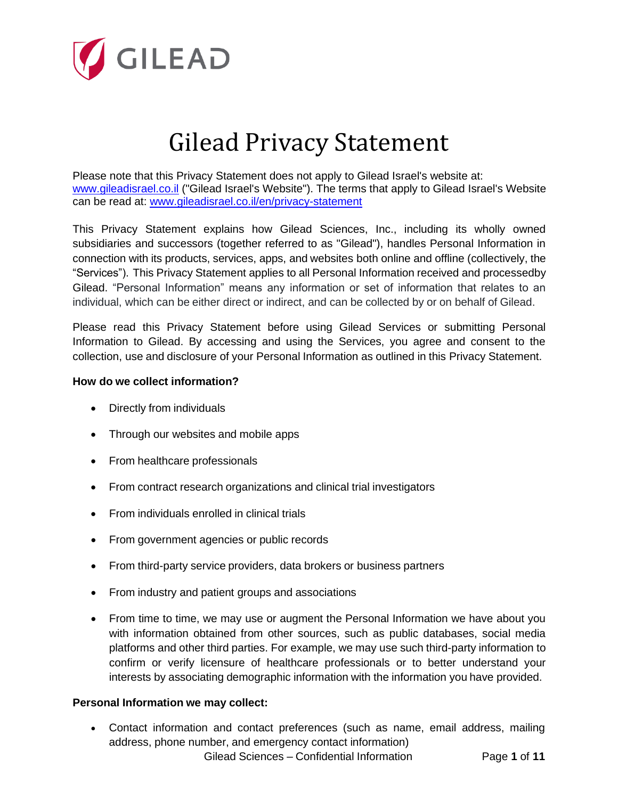

# Gilead Privacy Statement

Please note that this Privacy Statement does not apply to Gilead Israel's website at: [www.gileadisrael.co.il](http://www.gileadisrael.co.il/) ("Gilead Israel's Website"). The terms that apply to Gilead Israel's Website can be read at: [www.gileadisrael.co.il/en/privacy-statement](http://www.gileadisrael.co.il/en/privacy-statement)

This Privacy Statement explains how Gilead Sciences, Inc., including its wholly owned subsidiaries and successors (together referred to as "Gilead"), handles Personal Information in connection with its products, services, apps, and websites both online and offline (collectively, the "Services"). This Privacy Statement applies to all Personal Information received and processedby Gilead. "Personal Information" means any information or set of information that relates to an individual, which can be either direct or indirect, and can be collected by or on behalf of Gilead.

Please read this Privacy Statement before using Gilead Services or submitting Personal Information to Gilead. By accessing and using the Services, you agree and consent to the collection, use and disclosure of your Personal Information as outlined in this Privacy Statement.

# **How do we collect information?**

- Directly from individuals
- Through our websites and mobile apps
- From healthcare professionals
- From contract research organizations and clinical trial investigators
- From individuals enrolled in clinical trials
- From government agencies or public records
- From third-party service providers, data brokers or business partners
- From industry and patient groups and associations
- From time to time, we may use or augment the Personal Information we have about you with information obtained from other sources, such as public databases, social media platforms and other third parties. For example, we may use such third-party information to confirm or verify licensure of healthcare professionals or to better understand your interests by associating demographic information with the information you have provided.

# **Personal Information we may collect:**

Gilead Sciences – Confidential Information Page **1** of **11** • Contact information and contact preferences (such as name, email address, mailing address, phone number, and emergency contact information)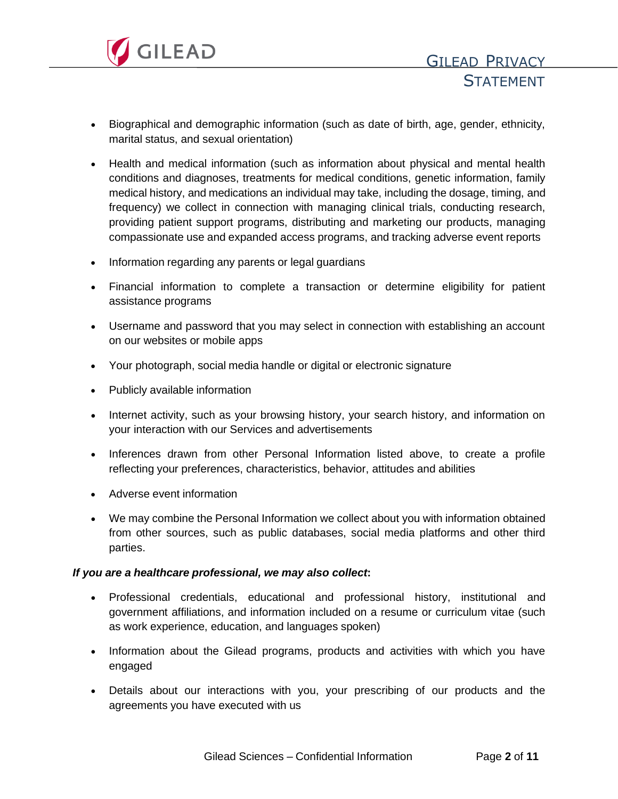

- Biographical and demographic information (such as date of birth, age, gender, ethnicity, marital status, and sexual orientation)
- Health and medical information (such as information about physical and mental health conditions and diagnoses, treatments for medical conditions, genetic information, family medical history, and medications an individual may take, including the dosage, timing, and frequency) we collect in connection with managing clinical trials, conducting research, providing patient support programs, distributing and marketing our products, managing compassionate use and expanded access programs, and tracking adverse event reports
- Information regarding any parents or legal guardians
- Financial information to complete a transaction or determine eligibility for patient assistance programs
- Username and password that you may select in connection with establishing an account on our websites or mobile apps
- Your photograph, social media handle or digital or electronic signature
- Publicly available information
- Internet activity, such as your browsing history, your search history, and information on your interaction with our Services and advertisements
- Inferences drawn from other Personal Information listed above, to create a profile reflecting your preferences, characteristics, behavior, attitudes and abilities
- Adverse event information
- We may combine the Personal Information we collect about you with information obtained from other sources, such as public databases, social media platforms and other third parties.

# *If you are a healthcare professional, we may also collect***:**

- Professional credentials, educational and professional history, institutional and government affiliations, and information included on a resume or curriculum vitae (such as work experience, education, and languages spoken)
- Information about the Gilead programs, products and activities with which you have engaged
- Details about our interactions with you, your prescribing of our products and the agreements you have executed with us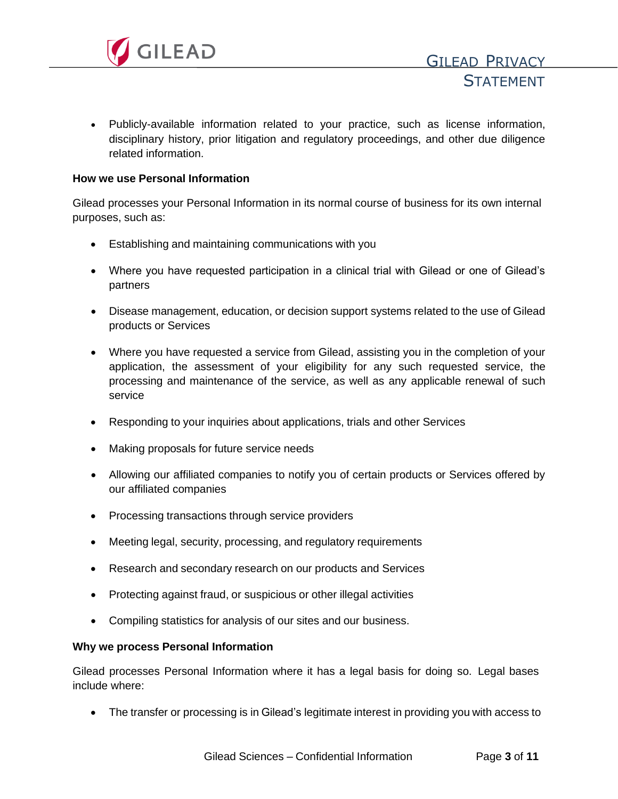

• Publicly-available information related to your practice, such as license information, disciplinary history, prior litigation and regulatory proceedings, and other due diligence related information.

#### **How we use Personal Information**

Gilead processes your Personal Information in its normal course of business for its own internal purposes, such as:

- Establishing and maintaining communications with you
- Where you have requested participation in a clinical trial with Gilead or one of Gilead's partners
- Disease management, education, or decision support systems related to the use of Gilead products or Services
- Where you have requested a service from Gilead, assisting you in the completion of your application, the assessment of your eligibility for any such requested service, the processing and maintenance of the service, as well as any applicable renewal of such service
- Responding to your inquiries about applications, trials and other Services
- Making proposals for future service needs
- Allowing our affiliated companies to notify you of certain products or Services offered by our affiliated companies
- Processing transactions through service providers
- Meeting legal, security, processing, and regulatory requirements
- Research and secondary research on our products and Services
- Protecting against fraud, or suspicious or other illegal activities
- Compiling statistics for analysis of our sites and our business.

#### **Why we process Personal Information**

Gilead processes Personal Information where it has a legal basis for doing so. Legal bases include where:

• The transfer or processing is in Gilead's legitimate interest in providing you with access to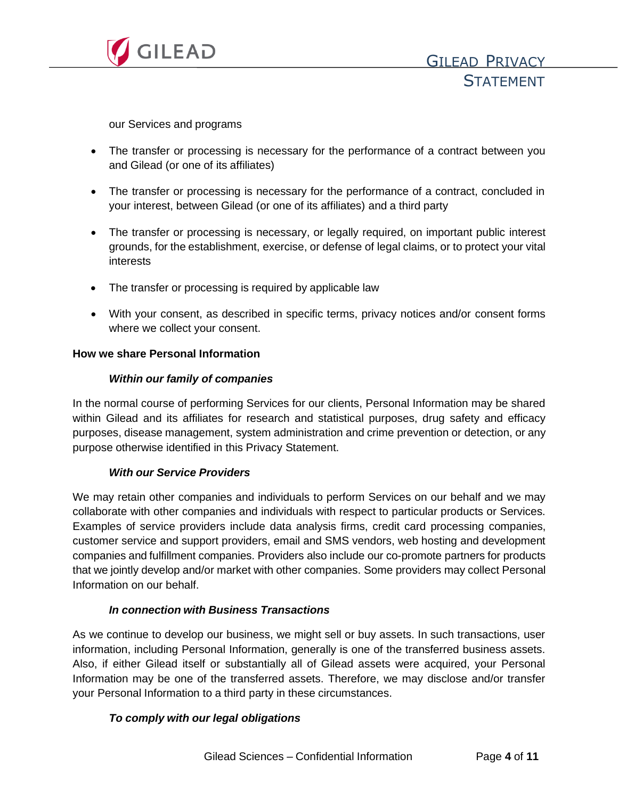

our Services and programs

- The transfer or processing is necessary for the performance of a contract between you and Gilead (or one of its affiliates)
- The transfer or processing is necessary for the performance of a contract, concluded in your interest, between Gilead (or one of its affiliates) and a third party
- The transfer or processing is necessary, or legally required, on important public interest grounds, for the establishment, exercise, or defense of legal claims, or to protect your vital interests
- The transfer or processing is required by applicable law
- With your consent, as described in specific terms, privacy notices and/or consent forms where we collect your consent.

# **How we share Personal Information**

# *Within our family of companies*

In the normal course of performing Services for our clients, Personal Information may be shared within Gilead and its affiliates for research and statistical purposes, drug safety and efficacy purposes, disease management, system administration and crime prevention or detection, or any purpose otherwise identified in this Privacy Statement.

# *With our Service Providers*

We may retain other companies and individuals to perform Services on our behalf and we may collaborate with other companies and individuals with respect to particular products or Services. Examples of service providers include data analysis firms, credit card processing companies, customer service and support providers, email and SMS vendors, web hosting and development companies and fulfillment companies. Providers also include our co-promote partners for products that we jointly develop and/or market with other companies. Some providers may collect Personal Information on our behalf.

# *In connection with Business Transactions*

As we continue to develop our business, we might sell or buy assets. In such transactions, user information, including Personal Information, generally is one of the transferred business assets. Also, if either Gilead itself or substantially all of Gilead assets were acquired, your Personal Information may be one of the transferred assets. Therefore, we may disclose and/or transfer your Personal Information to a third party in these circumstances.

# *To comply with our legal obligations*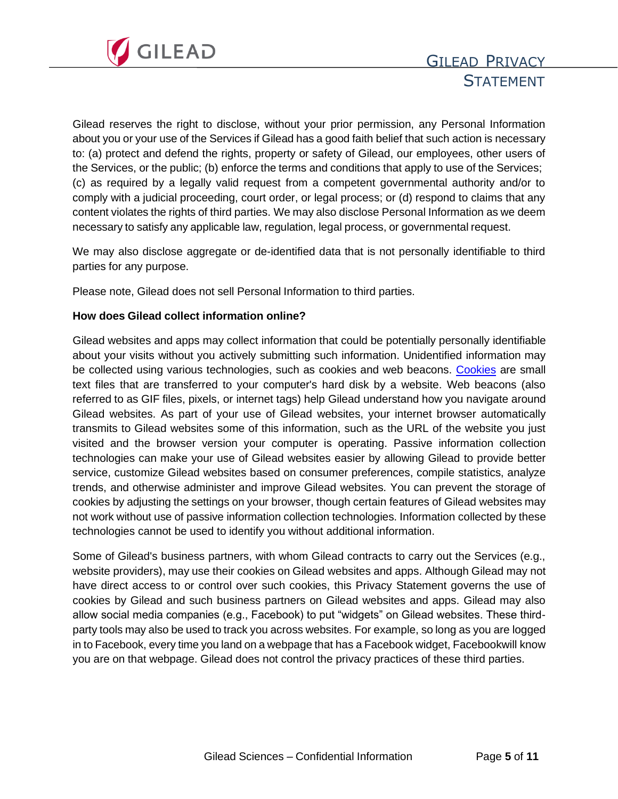

Gilead reserves the right to disclose, without your prior permission, any Personal Information about you or your use of the Services if Gilead has a good faith belief that such action is necessary to: (a) protect and defend the rights, property or safety of Gilead, our employees, other users of the Services, or the public; (b) enforce the terms and conditions that apply to use of the Services; (c) as required by a legally valid request from a competent governmental authority and/or to comply with a judicial proceeding, court order, or legal process; or (d) respond to claims that any content violates the rights of third parties. We may also disclose Personal Information as we deem necessary to satisfy any applicable law, regulation, legal process, or governmental request.

We may also disclose aggregate or de-identified data that is not personally identifiable to third parties for any purpose.

Please note, Gilead does not sell Personal Information to third parties.

#### **How does Gilead collect information online?**

Gilead websites and apps may collect information that could be potentially personally identifiable about your visits without you actively submitting such information. Unidentified information may be collected using various technologies, such as cookies and web beacons. [Cookies](https://www.gilead.com/privacy-statements/cookie-statement) are small text files that are transferred to your computer's hard disk by a website. Web beacons (also referred to as GIF files, pixels, or internet tags) help Gilead understand how you navigate around Gilead websites. As part of your use of Gilead websites, your internet browser automatically transmits to Gilead websites some of this information, such as the URL of the website you just visited and the browser version your computer is operating. Passive information collection technologies can make your use of Gilead websites easier by allowing Gilead to provide better service, customize Gilead websites based on consumer preferences, compile statistics, analyze trends, and otherwise administer and improve Gilead websites. You can prevent the storage of cookies by adjusting the settings on your browser, though certain features of Gilead websites may not work without use of passive information collection technologies. Information collected by these technologies cannot be used to identify you without additional information.

Some of Gilead's business partners, with whom Gilead contracts to carry out the Services (e.g., website providers), may use their cookies on Gilead websites and apps. Although Gilead may not have direct access to or control over such cookies, this Privacy Statement governs the use of cookies by Gilead and such business partners on Gilead websites and apps. Gilead may also allow social media companies (e.g., Facebook) to put "widgets" on Gilead websites. These thirdparty tools may also be used to track you across websites. For example, so long as you are logged in to Facebook, every time you land on a webpage that has a Facebook widget, Facebookwill know you are on that webpage. Gilead does not control the privacy practices of these third parties.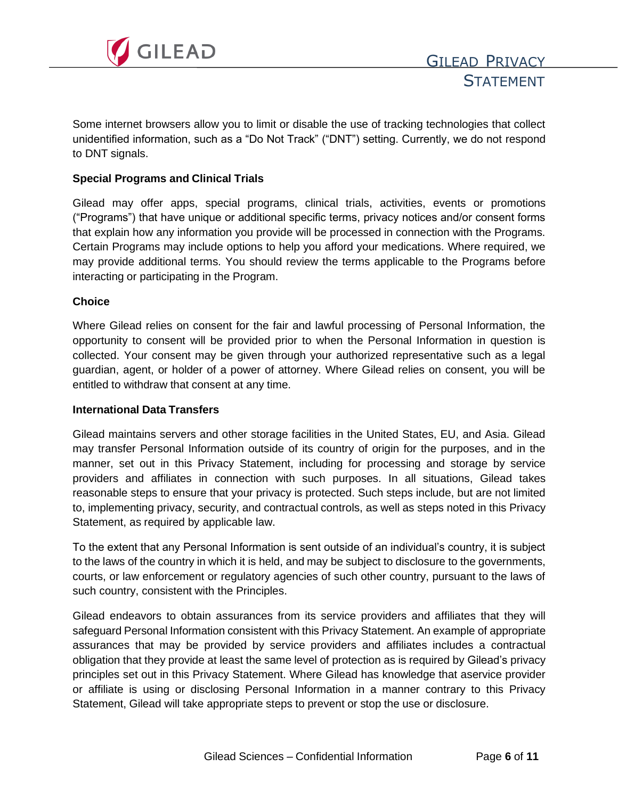

Some internet browsers allow you to limit or disable the use of tracking technologies that collect unidentified information, such as a "Do Not Track" ("DNT") setting. Currently, we do not respond to DNT signals.

#### **Special Programs and Clinical Trials**

Gilead may offer apps, special programs, clinical trials, activities, events or promotions ("Programs") that have unique or additional specific terms, privacy notices and/or consent forms that explain how any information you provide will be processed in connection with the Programs. Certain Programs may include options to help you afford your medications. Where required, we may provide additional terms. You should review the terms applicable to the Programs before interacting or participating in the Program.

#### **Choice**

Where Gilead relies on consent for the fair and lawful processing of Personal Information, the opportunity to consent will be provided prior to when the Personal Information in question is collected. Your consent may be given through your authorized representative such as a legal guardian, agent, or holder of a power of attorney. Where Gilead relies on consent, you will be entitled to withdraw that consent at any time.

#### **International Data Transfers**

Gilead maintains servers and other storage facilities in the United States, EU, and Asia. Gilead may transfer Personal Information outside of its country of origin for the purposes, and in the manner, set out in this Privacy Statement, including for processing and storage by service providers and affiliates in connection with such purposes. In all situations, Gilead takes reasonable steps to ensure that your privacy is protected. Such steps include, but are not limited to, implementing privacy, security, and contractual controls, as well as steps noted in this Privacy Statement, as required by applicable law.

To the extent that any Personal Information is sent outside of an individual's country, it is subject to the laws of the country in which it is held, and may be subject to disclosure to the governments, courts, or law enforcement or regulatory agencies of such other country, pursuant to the laws of such country, consistent with the Principles.

Gilead endeavors to obtain assurances from its service providers and affiliates that they will safeguard Personal Information consistent with this Privacy Statement. An example of appropriate assurances that may be provided by service providers and affiliates includes a contractual obligation that they provide at least the same level of protection as is required by Gilead's privacy principles set out in this Privacy Statement. Where Gilead has knowledge that aservice provider or affiliate is using or disclosing Personal Information in a manner contrary to this Privacy Statement, Gilead will take appropriate steps to prevent or stop the use or disclosure.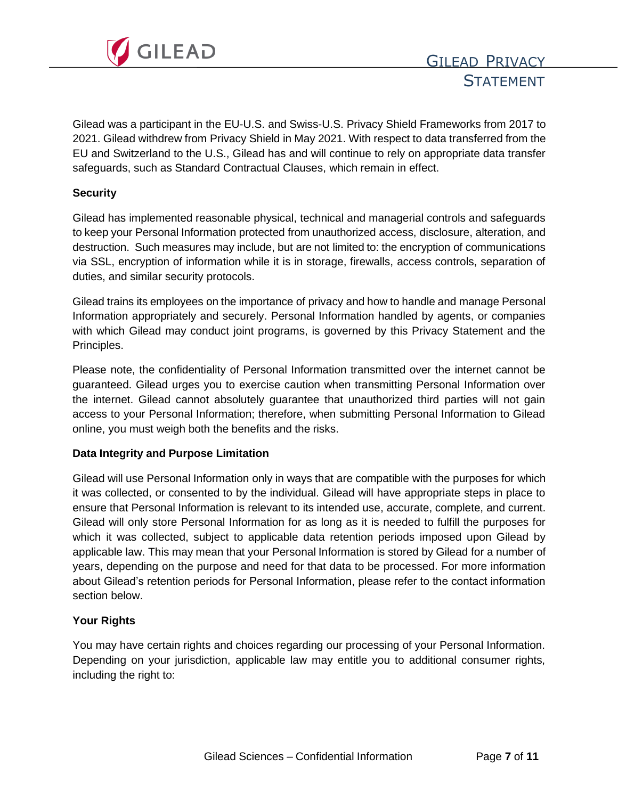

Gilead was a participant in the EU-U.S. and Swiss-U.S. Privacy Shield Frameworks from 2017 to 2021. Gilead withdrew from Privacy Shield in May 2021. With respect to data transferred from the EU and Switzerland to the U.S., Gilead has and will continue to rely on appropriate data transfer safeguards, such as Standard Contractual Clauses, which remain in effect.

#### **Security**

Gilead has implemented reasonable physical, technical and managerial controls and safeguards to keep your Personal Information protected from unauthorized access, disclosure, alteration, and destruction. Such measures may include, but are not limited to: the encryption of communications via SSL, encryption of information while it is in storage, firewalls, access controls, separation of duties, and similar security protocols.

Gilead trains its employees on the importance of privacy and how to handle and manage Personal Information appropriately and securely. Personal Information handled by agents, or companies with which Gilead may conduct joint programs, is governed by this Privacy Statement and the Principles.

Please note, the confidentiality of Personal Information transmitted over the internet cannot be guaranteed. Gilead urges you to exercise caution when transmitting Personal Information over the internet. Gilead cannot absolutely guarantee that unauthorized third parties will not gain access to your Personal Information; therefore, when submitting Personal Information to Gilead online, you must weigh both the benefits and the risks.

# **Data Integrity and Purpose Limitation**

Gilead will use Personal Information only in ways that are compatible with the purposes for which it was collected, or consented to by the individual. Gilead will have appropriate steps in place to ensure that Personal Information is relevant to its intended use, accurate, complete, and current. Gilead will only store Personal Information for as long as it is needed to fulfill the purposes for which it was collected, subject to applicable data retention periods imposed upon Gilead by applicable law. This may mean that your Personal Information is stored by Gilead for a number of years, depending on the purpose and need for that data to be processed. For more information about Gilead's retention periods for Personal Information, please refer to the contact information section below.

# **Your Rights**

You may have certain rights and choices regarding our processing of your Personal Information. Depending on your jurisdiction, applicable law may entitle you to additional consumer rights, including the right to: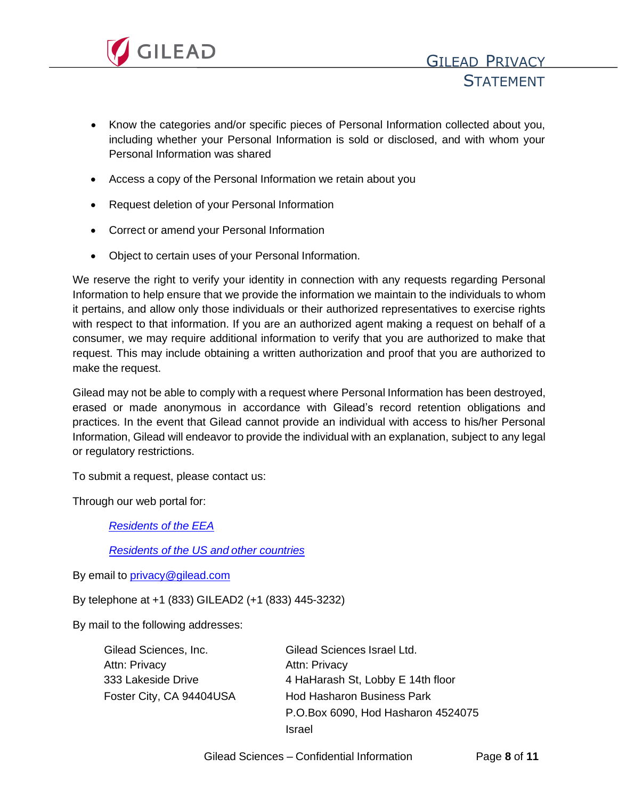

- Know the categories and/or specific pieces of Personal Information collected about you, including whether your Personal Information is sold or disclosed, and with whom your Personal Information was shared
- Access a copy of the Personal Information we retain about you
- Request deletion of your Personal Information
- Correct or amend your Personal Information
- Object to certain uses of your Personal Information.

We reserve the right to verify your identity in connection with any requests regarding Personal Information to help ensure that we provide the information we maintain to the individuals to whom it pertains, and allow only those individuals or their authorized representatives to exercise rights with respect to that information. If you are an authorized agent making a request on behalf of a consumer, we may require additional information to verify that you are authorized to make that request. This may include obtaining a written authorization and proof that you are authorized to make the request.

Gilead may not be able to comply with a request where Personal Information has been destroyed, erased or made anonymous in accordance with Gilead's record retention obligations and practices. In the event that Gilead cannot provide an individual with access to his/her Personal Information, Gilead will endeavor to provide the individual with an explanation, subject to any legal or regulatory restrictions.

To submit a request, please contact us:

Through our web portal for:

*[Residents](https://privacyportalde-cdn.onetrust.com/dsarwebform/bf68afa0-3c8d-4d2e-9472-6b54f14f5822/fb6b4c38-6b71-44ea-b8b2-ca3d55426d38.html) of the EEA*

*[Residents](https://privacyportalde-cdn.onetrust.com/dsarwebform/bf68afa0-3c8d-4d2e-9472-6b54f14f5822/428933da-357c-4d27-8d24-ae1af1a95e1e.html) of the US and other countries*

By email to *[privacy@gilead.com](mailto:privacy@gilead.com)* 

By telephone at +1 (833) GILEAD2 (+1 (833) 445-3232)

By mail to the following addresses:

| Gilead Sciences, Inc.    | Gilead Sciences Israel Ltd.        |
|--------------------------|------------------------------------|
| Attn: Privacy            | <b>Attn: Privacy</b>               |
| 333 Lakeside Drive       | 4 HaHarash St, Lobby E 14th floor  |
| Foster City, CA 94404USA | <b>Hod Hasharon Business Park</b>  |
|                          | P.O.Box 6090, Hod Hasharon 4524075 |
|                          | Israel                             |

Gilead Sciences – Confidential Information Page **8** of **11**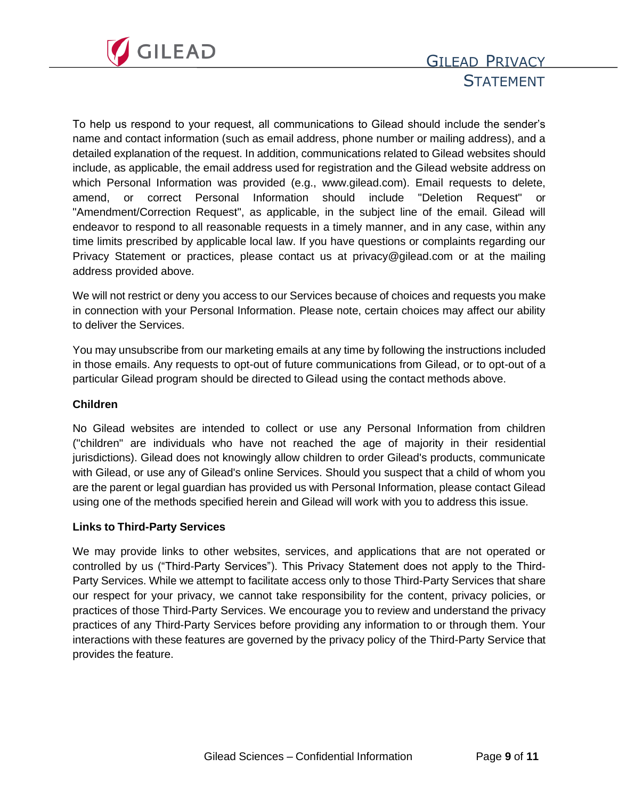

# GILEAD PRIVACY **STATEMENT**

To help us respond to your request, all communications to Gilead should include the sender's name and contact information (such as email address, phone number or mailing address), and a detailed explanation of the request. In addition, communications related to Gilead websites should include, as applicable, the email address used for registration and the Gilead website address on which Personal Information was provided (e.g., www.gilead.com). Email requests to delete, amend, or correct Personal Information should include "Deletion Request" or "Amendment/Correction Request", as applicable, in the subject line of the email. Gilead will endeavor to respond to all reasonable requests in a timely manner, and in any case, within any time limits prescribed by applicable local law. If you have questions or complaints regarding our Privacy Statement or practices, please contact us at [privacy@gilead.com](mailto:privacy@gilead.com) or at the mailing address provided above.

We will not restrict or deny you access to our Services because of choices and requests you make in connection with your Personal Information. Please note, certain choices may affect our ability to deliver the Services.

You may unsubscribe from our marketing emails at any time by following the instructions included in those emails. Any requests to opt-out of future communications from Gilead, or to opt-out of a particular Gilead program should be directed to Gilead using the contact methods above.

# **Children**

No Gilead websites are intended to collect or use any Personal Information from children ("children" are individuals who have not reached the age of majority in their residential jurisdictions). Gilead does not knowingly allow children to order Gilead's products, communicate with Gilead, or use any of Gilead's online Services. Should you suspect that a child of whom you are the parent or legal guardian has provided us with Personal Information, please contact Gilead using one of the methods specified herein and Gilead will work with you to address this issue.

#### **Links to Third-Party Services**

We may provide links to other websites, services, and applications that are not operated or controlled by us ("Third-Party Services"). This Privacy Statement does not apply to the Third-Party Services. While we attempt to facilitate access only to those Third-Party Services that share our respect for your privacy, we cannot take responsibility for the content, privacy policies, or practices of those Third-Party Services. We encourage you to review and understand the privacy practices of any Third-Party Services before providing any information to or through them. Your interactions with these features are governed by the privacy policy of the Third-Party Service that provides the feature.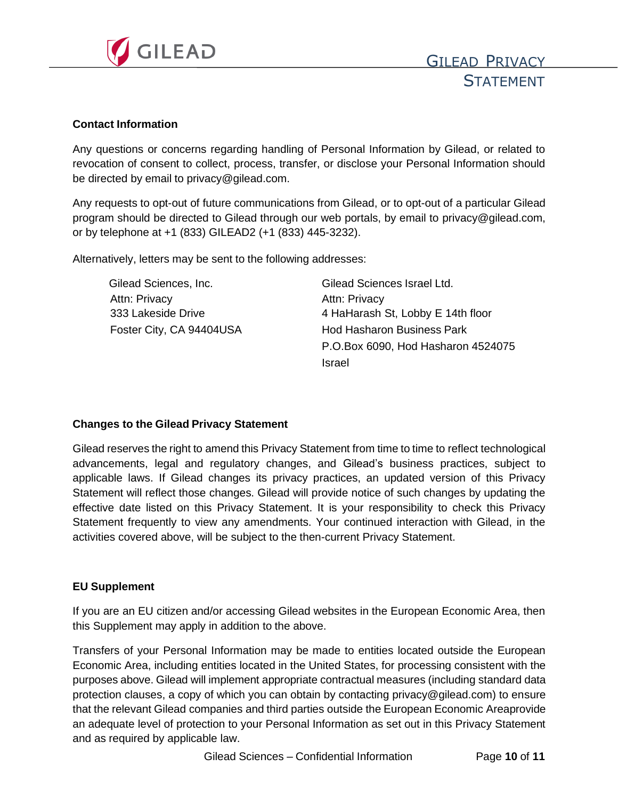

### **Contact Information**

Any questions or concerns regarding handling of Personal Information by Gilead, or related to revocation of consent to collect, process, transfer, or disclose your Personal Information should be directed by email to [privacy@gilead.com.](mailto:privacy@gilead.com)

Any requests to opt-out of future communications from Gilead, or to opt-out of a particular Gilead program should be directed to Gilead through our web portals, by email to [privacy@gilead.com,](mailto:privacy@gilead.com) or by telephone at +1 (833) GILEAD2 (+1 (833) 445-3232).

Alternatively, letters may be sent to the following addresses:

| Gilead Sciences, Inc.    | Gilead Sciences Israel Ltd.        |
|--------------------------|------------------------------------|
| Attn: Privacy            | <b>Attn: Privacy</b>               |
| 333 Lakeside Drive       | 4 HaHarash St, Lobby E 14th floor  |
| Foster City, CA 94404USA | <b>Hod Hasharon Business Park</b>  |
|                          | P.O.Box 6090, Hod Hasharon 4524075 |
|                          | Israel                             |

# **Changes to the Gilead Privacy Statement**

Gilead reserves the right to amend this Privacy Statement from time to time to reflect technological advancements, legal and regulatory changes, and Gilead's business practices, subject to applicable laws. If Gilead changes its privacy practices, an updated version of this Privacy Statement will reflect those changes. Gilead will provide notice of such changes by updating the effective date listed on this Privacy Statement. It is your responsibility to check this Privacy Statement frequently to view any amendments. Your continued interaction with Gilead, in the activities covered above, will be subject to the then-current Privacy Statement.

# **EU Supplement**

If you are an EU citizen and/or accessing Gilead websites in the European Economic Area, then this Supplement may apply in addition to the above.

Transfers of your Personal Information may be made to entities located outside the European Economic Area, including entities located in the United States, for processing consistent with the purposes above. Gilead will implement appropriate contractual measures (including standard data protection clauses, a copy of which you can obtain by contacting privacy@gilead.com) to ensure that the relevant Gilead companies and third parties outside the European Economic Areaprovide an adequate level of protection to your Personal Information as set out in this Privacy Statement and as required by applicable law.